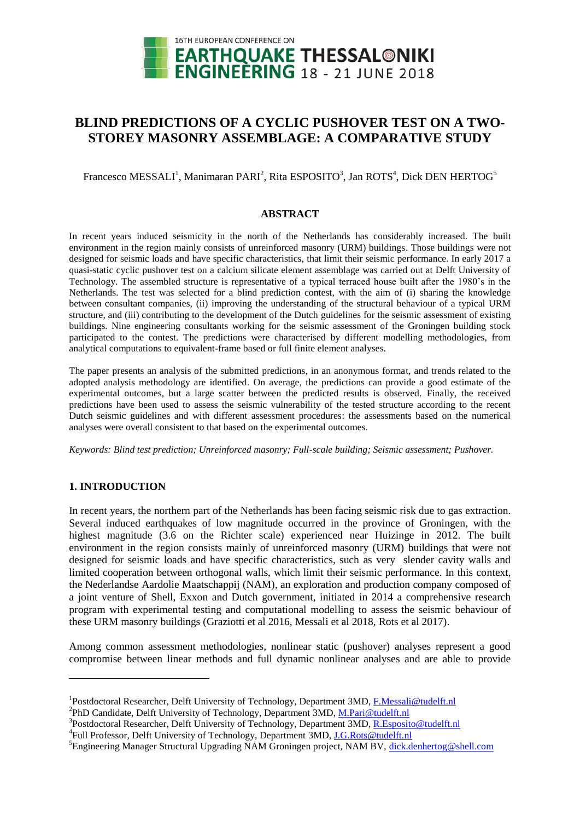

# **BLIND PREDICTIONS OF A CYCLIC PUSHOVER TEST ON A TWO-STOREY MASONRY ASSEMBLAGE: A COMPARATIVE STUDY**

Francesco MESSALI<sup>1</sup>, Manimaran PARI<sup>2</sup>, Rita ESPOSITO<sup>3</sup>, Jan ROTS<sup>4</sup>, Dick DEN HERTOG<sup>5</sup>

#### **ABSTRACT**

In recent years induced seismicity in the north of the Netherlands has considerably increased. The built environment in the region mainly consists of unreinforced masonry (URM) buildings. Those buildings were not designed for seismic loads and have specific characteristics, that limit their seismic performance. In early 2017 a quasi-static cyclic pushover test on a calcium silicate element assemblage was carried out at Delft University of Technology. The assembled structure is representative of a typical terraced house built after the 1980's in the Netherlands. The test was selected for a blind prediction contest, with the aim of (i) sharing the knowledge between consultant companies, (ii) improving the understanding of the structural behaviour of a typical URM structure, and (iii) contributing to the development of the Dutch guidelines for the seismic assessment of existing buildings. Nine engineering consultants working for the seismic assessment of the Groningen building stock participated to the contest. The predictions were characterised by different modelling methodologies, from analytical computations to equivalent-frame based or full finite element analyses.

The paper presents an analysis of the submitted predictions, in an anonymous format, and trends related to the adopted analysis methodology are identified. On average, the predictions can provide a good estimate of the experimental outcomes, but a large scatter between the predicted results is observed. Finally, the received predictions have been used to assess the seismic vulnerability of the tested structure according to the recent Dutch seismic guidelines and with different assessment procedures: the assessments based on the numerical analyses were overall consistent to that based on the experimental outcomes.

*Keywords: Blind test prediction; Unreinforced masonry; Full-scale building; Seismic assessment; Pushover.*

## **1. INTRODUCTION**

l

In recent years, the northern part of the Netherlands has been facing seismic risk due to gas extraction. Several induced earthquakes of low magnitude occurred in the province of Groningen, with the highest magnitude (3.6 on the Richter scale) experienced near Huizinge in 2012. The built environment in the region consists mainly of unreinforced masonry (URM) buildings that were not designed for seismic loads and have specific characteristics, such as very slender cavity walls and limited cooperation between orthogonal walls, which limit their seismic performance. In this context, the Nederlandse Aardolie Maatschappij (NAM), an exploration and production company composed of a joint venture of Shell, Exxon and Dutch government, initiated in 2014 a comprehensive research program with experimental testing and computational modelling to assess the seismic behaviour of these URM masonry buildings (Graziotti et al 2016, Messali et al 2018, Rots et al 2017).

Among common assessment methodologies, nonlinear static (pushover) analyses represent a good compromise between linear methods and full dynamic nonlinear analyses and are able to provide

<sup>2</sup>PhD Candidate, Delft University of Technology, Department 3MD, [M.Pari@tudelft.nl](mailto:M.Pari@tudelft.nl)

<sup>&</sup>lt;sup>1</sup>Postdoctoral Researcher, Delft University of Technology, Department 3MD, *F.Messali@tudelft.nl* 

<sup>&</sup>lt;sup>3</sup>Postdoctoral Researcher, Delft University of Technology, Department 3MD, [R.Esposito@tudelft.nl](mailto:R.Esposito@tudelft.nl)

<sup>&</sup>lt;sup>4</sup>Full Professor, Delft University of Technology, Department 3MD, **J.G.Rots@tudelft.nl** 

<sup>&</sup>lt;sup>5</sup>Engineering Manager Structural Upgrading NAM Groningen project, NAM BV, [dick.denhertog@shell.com](mailto:dick.denhertog@shell.com)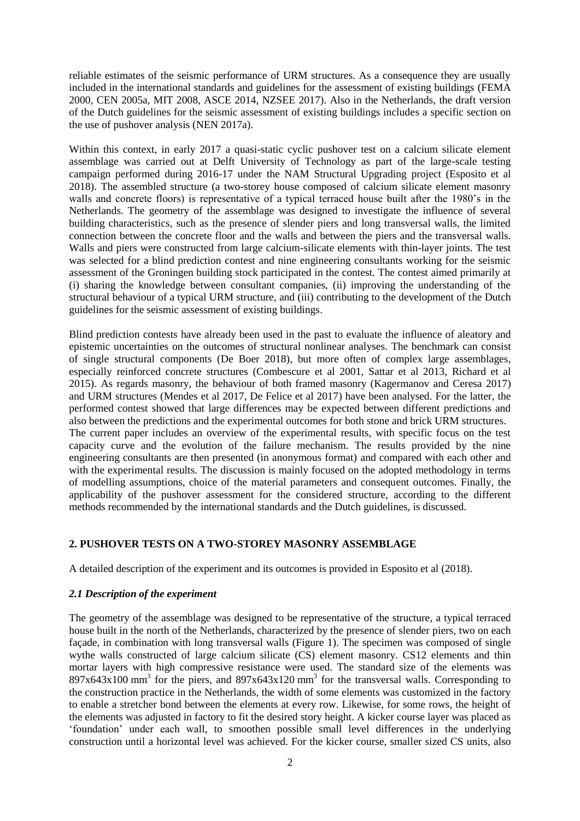reliable estimates of the seismic performance of URM structures. As a consequence they are usually included in the international standards and guidelines for the assessment of existing buildings (FEMA 2000, CEN 2005a, MIT 2008, ASCE 2014, NZSEE 2017). Also in the Netherlands, the draft version of the Dutch guidelines for the seismic assessment of existing buildings includes a specific section on the use of pushover analysis (NEN 2017a).

Within this context, in early 2017 a quasi-static cyclic pushover test on a calcium silicate element assemblage was carried out at Delft University of Technology as part of the large-scale testing campaign performed during 2016-17 under the NAM Structural Upgrading project (Esposito et al 2018). The assembled structure (a two-storey house composed of calcium silicate element masonry walls and concrete floors) is representative of a typical terraced house built after the 1980's in the Netherlands. The geometry of the assemblage was designed to investigate the influence of several building characteristics, such as the presence of slender piers and long transversal walls, the limited connection between the concrete floor and the walls and between the piers and the transversal walls. Walls and piers were constructed from large calcium-silicate elements with thin-layer joints. The test was selected for a blind prediction contest and nine engineering consultants working for the seismic assessment of the Groningen building stock participated in the contest. The contest aimed primarily at (i) sharing the knowledge between consultant companies, (ii) improving the understanding of the structural behaviour of a typical URM structure, and (iii) contributing to the development of the Dutch guidelines for the seismic assessment of existing buildings.

Blind prediction contests have already been used in the past to evaluate the influence of aleatory and epistemic uncertainties on the outcomes of structural nonlinear analyses. The benchmark can consist of single structural components (De Boer 2018), but more often of complex large assemblages, especially reinforced concrete structures (Combescure et al 2001, Sattar et al 2013, Richard et al 2015). As regards masonry, the behaviour of both framed masonry (Kagermanov and Ceresa 2017) and URM structures (Mendes et al 2017, De Felice et al 2017) have been analysed. For the latter, the performed contest showed that large differences may be expected between different predictions and also between the predictions and the experimental outcomes for both stone and brick URM structures. The current paper includes an overview of the experimental results, with specific focus on the test capacity curve and the evolution of the failure mechanism. The results provided by the nine engineering consultants are then presented (in anonymous format) and compared with each other and with the experimental results. The discussion is mainly focused on the adopted methodology in terms of modelling assumptions, choice of the material parameters and consequent outcomes. Finally, the applicability of the pushover assessment for the considered structure, according to the different methods recommended by the international standards and the Dutch guidelines, is discussed.

## **2. PUSHOVER TESTS ON A TWO-STOREY MASONRY ASSEMBLAGE**

A detailed description of the experiment and its outcomes is provided in Esposito et al (2018).

## *2.1 Description of the experiment*

The geometry of the assemblage was designed to be representative of the structure, a typical terraced house built in the north of the Netherlands, characterized by the presence of slender piers, two on each façade, in combination with long transversal walls [\(Figure 1\)](#page-2-0). The specimen was composed of single wythe walls constructed of large calcium silicate (CS) element masonry. CS12 elements and thin mortar layers with high compressive resistance were used. The standard size of the elements was  $897x643x100$  mm<sup>3</sup> for the piers, and  $897x643x120$  mm<sup>3</sup> for the transversal walls. Corresponding to the construction practice in the Netherlands, the width of some elements was customized in the factory to enable a stretcher bond between the elements at every row. Likewise, for some rows, the height of the elements was adjusted in factory to fit the desired story height. A kicker course layer was placed as 'foundation' under each wall, to smoothen possible small level differences in the underlying construction until a horizontal level was achieved. For the kicker course, smaller sized CS units, also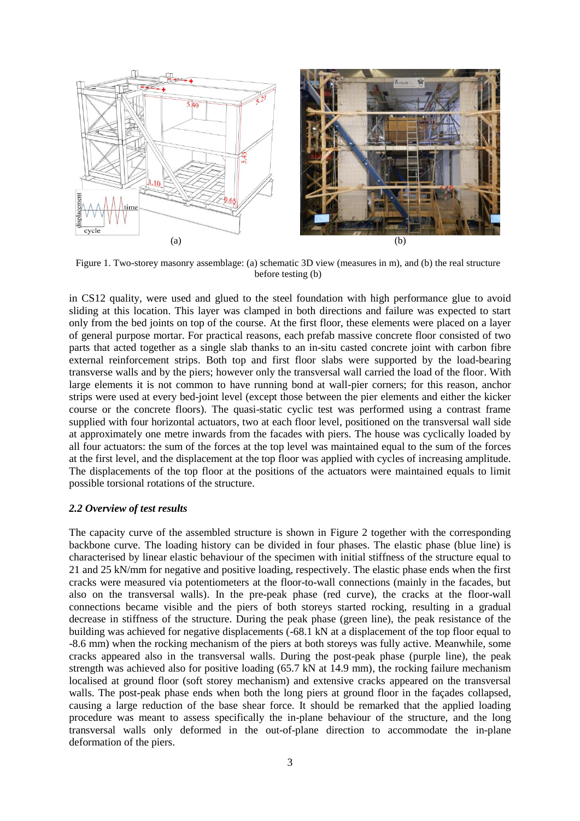

<span id="page-2-0"></span>Figure 1. Two-storey masonry assemblage: (a) schematic 3D view (measures in m), and (b) the real structure before testing (b)

in CS12 quality, were used and glued to the steel foundation with high performance glue to avoid sliding at this location. This layer was clamped in both directions and failure was expected to start only from the bed joints on top of the course. At the first floor, these elements were placed on a layer of general purpose mortar. For practical reasons, each prefab massive concrete floor consisted of two parts that acted together as a single slab thanks to an in-situ casted concrete joint with carbon fibre external reinforcement strips. Both top and first floor slabs were supported by the load-bearing transverse walls and by the piers; however only the transversal wall carried the load of the floor. With large elements it is not common to have running bond at wall-pier corners; for this reason, anchor strips were used at every bed-joint level (except those between the pier elements and either the kicker course or the concrete floors). The quasi-static cyclic test was performed using a contrast frame supplied with four horizontal actuators, two at each floor level, positioned on the transversal wall side at approximately one metre inwards from the facades with piers. The house was cyclically loaded by all four actuators: the sum of the forces at the top level was maintained equal to the sum of the forces at the first level, and the displacement at the top floor was applied with cycles of increasing amplitude. The displacements of the top floor at the positions of the actuators were maintained equals to limit possible torsional rotations of the structure.

#### *2.2 Overview of test results*

The capacity curve of the assembled structure is shown in [Figure 2](#page-3-0) together with the corresponding backbone curve. The loading history can be divided in four phases. The elastic phase (blue line) is characterised by linear elastic behaviour of the specimen with initial stiffness of the structure equal to 21 and 25 kN/mm for negative and positive loading, respectively. The elastic phase ends when the first cracks were measured via potentiometers at the floor-to-wall connections (mainly in the facades, but also on the transversal walls). In the pre-peak phase (red curve), the cracks at the floor-wall connections became visible and the piers of both storeys started rocking, resulting in a gradual decrease in stiffness of the structure. During the peak phase (green line), the peak resistance of the building was achieved for negative displacements (-68.1 kN at a displacement of the top floor equal to -8.6 mm) when the rocking mechanism of the piers at both storeys was fully active. Meanwhile, some cracks appeared also in the transversal walls. During the post-peak phase (purple line), the peak strength was achieved also for positive loading (65.7 kN at 14.9 mm), the rocking failure mechanism localised at ground floor (soft storey mechanism) and extensive cracks appeared on the transversal walls. The post-peak phase ends when both the long piers at ground floor in the façades collapsed, causing a large reduction of the base shear force. It should be remarked that the applied loading procedure was meant to assess specifically the in-plane behaviour of the structure, and the long transversal walls only deformed in the out-of-plane direction to accommodate the in-plane deformation of the piers.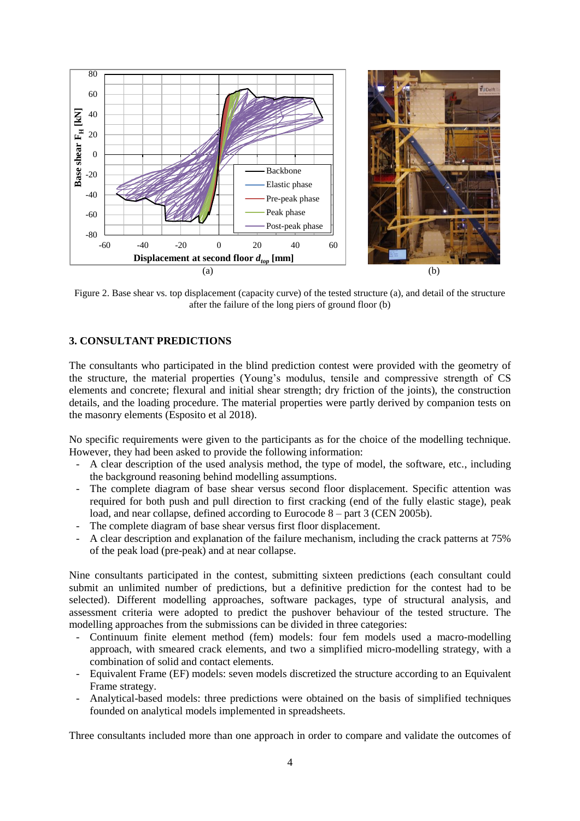

<span id="page-3-0"></span>Figure 2. Base shear vs. top displacement (capacity curve) of the tested structure (a), and detail of the structure after the failure of the long piers of ground floor (b)

## **3. CONSULTANT PREDICTIONS**

The consultants who participated in the blind prediction contest were provided with the geometry of the structure, the material properties (Young's modulus, tensile and compressive strength of CS elements and concrete; flexural and initial shear strength; dry friction of the joints), the construction details, and the loading procedure. The material properties were partly derived by companion tests on the masonry elements (Esposito et al 2018).

No specific requirements were given to the participants as for the choice of the modelling technique. However, they had been asked to provide the following information:

- A clear description of the used analysis method, the type of model, the software, etc., including the background reasoning behind modelling assumptions.
- The complete diagram of base shear versus second floor displacement. Specific attention was required for both push and pull direction to first cracking (end of the fully elastic stage), peak load, and near collapse, defined according to Eurocode 8 – part 3 (CEN 2005b).
- The complete diagram of base shear versus first floor displacement.
- A clear description and explanation of the failure mechanism, including the crack patterns at 75% of the peak load (pre-peak) and at near collapse.

Nine consultants participated in the contest, submitting sixteen predictions (each consultant could submit an unlimited number of predictions, but a definitive prediction for the contest had to be selected). Different modelling approaches, software packages, type of structural analysis, and assessment criteria were adopted to predict the pushover behaviour of the tested structure. The modelling approaches from the submissions can be divided in three categories:

- Continuum finite element method (fem) models: four fem models used a macro-modelling approach, with smeared crack elements, and two a simplified micro-modelling strategy, with a combination of solid and contact elements.
- Equivalent Frame (EF) models: seven models discretized the structure according to an Equivalent Frame strategy.
- Analytical-based models: three predictions were obtained on the basis of simplified techniques founded on analytical models implemented in spreadsheets.

Three consultants included more than one approach in order to compare and validate the outcomes of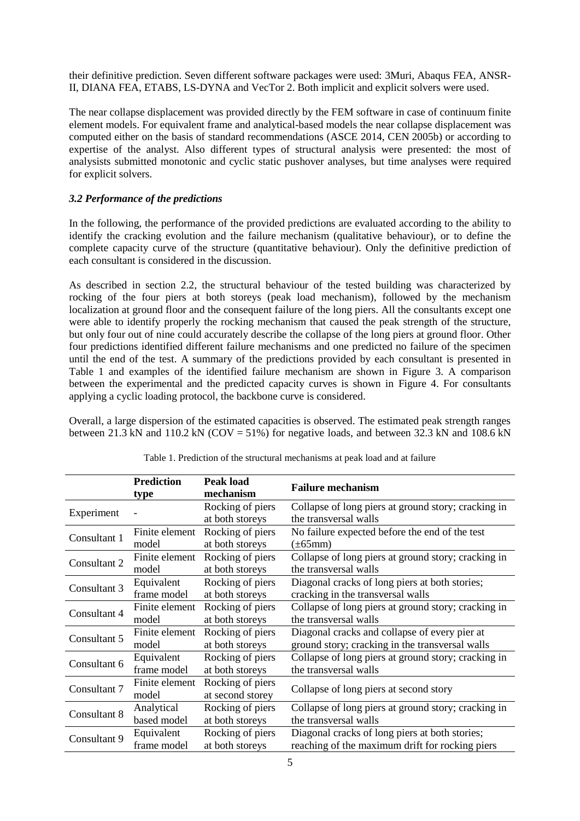their definitive prediction. Seven different software packages were used: 3Muri, Abaqus FEA, ANSR-II, DIANA FEA, ETABS, LS-DYNA and VecTor 2. Both implicit and explicit solvers were used.

The near collapse displacement was provided directly by the FEM software in case of continuum finite element models. For equivalent frame and analytical-based models the near collapse displacement was computed either on the basis of standard recommendations (ASCE 2014, CEN 2005b) or according to expertise of the analyst. Also different types of structural analysis were presented: the most of analysists submitted monotonic and cyclic static pushover analyses, but time analyses were required for explicit solvers.

# *3.2 Performance of the predictions*

In the following, the performance of the provided predictions are evaluated according to the ability to identify the cracking evolution and the failure mechanism (qualitative behaviour), or to define the complete capacity curve of the structure (quantitative behaviour). Only the definitive prediction of each consultant is considered in the discussion.

As described in section 2.2, the structural behaviour of the tested building was characterized by rocking of the four piers at both storeys (peak load mechanism), followed by the mechanism localization at ground floor and the consequent failure of the long piers. All the consultants except one were able to identify properly the rocking mechanism that caused the peak strength of the structure, but only four out of nine could accurately describe the collapse of the long piers at ground floor. Other four predictions identified different failure mechanisms and one predicted no failure of the specimen until the end of the test. A summary of the predictions provided by each consultant is presented in [Table 1](#page-4-0) and examples of the identified failure mechanism are shown in [Figure 3.](#page-5-0) A comparison between the experimental and the predicted capacity curves is shown in [Figure 4.](#page-5-1) For consultants applying a cyclic loading protocol, the backbone curve is considered.

Overall, a large dispersion of the estimated capacities is observed. The estimated peak strength ranges between 21.3 kN and 110.2 kN (COV = 51%) for negative loads, and between 32.3 kN and 108.6 kN

<span id="page-4-0"></span>

|                                           | <b>Prediction</b><br>type                                        | Peak load<br>mechanism               | <b>Failure mechanism</b>                                                                          |  |  |  |  |
|-------------------------------------------|------------------------------------------------------------------|--------------------------------------|---------------------------------------------------------------------------------------------------|--|--|--|--|
| Experiment                                |                                                                  | Rocking of piers<br>at both storeys  | Collapse of long piers at ground story; cracking in<br>the transversal walls                      |  |  |  |  |
| Consultant 1                              | Finite element                                                   | Rocking of piers                     | No failure expected before the end of the test                                                    |  |  |  |  |
|                                           | model                                                            | at both storeys                      | $(\pm 65$ mm)                                                                                     |  |  |  |  |
| Consultant 2                              | Finite element                                                   | Rocking of piers                     | Collapse of long piers at ground story; cracking in                                               |  |  |  |  |
|                                           | model                                                            | at both storeys                      | the transversal walls                                                                             |  |  |  |  |
| Consultant 3                              | Rocking of piers<br>Equivalent<br>frame model<br>at both storeys |                                      | Diagonal cracks of long piers at both stories;<br>cracking in the transversal walls               |  |  |  |  |
| Consultant 4                              | Finite element                                                   | Rocking of piers                     | Collapse of long piers at ground story; cracking in                                               |  |  |  |  |
|                                           | model                                                            | at both storeys                      | the transversal walls                                                                             |  |  |  |  |
| Consultant 5                              | Finite element                                                   | Rocking of piers                     | Diagonal cracks and collapse of every pier at                                                     |  |  |  |  |
|                                           | model                                                            | at both storeys                      | ground story; cracking in the transversal walls                                                   |  |  |  |  |
| Consultant 6                              | Equivalent                                                       | Rocking of piers                     | Collapse of long piers at ground story; cracking in                                               |  |  |  |  |
|                                           | frame model                                                      | at both storeys                      | the transversal walls                                                                             |  |  |  |  |
| Consultant 7                              | Finite element<br>model                                          | Rocking of piers<br>at second storey | Collapse of long piers at second story                                                            |  |  |  |  |
| Consultant 8                              | Analytical                                                       | Rocking of piers                     | Collapse of long piers at ground story; cracking in                                               |  |  |  |  |
|                                           | based model                                                      | at both storeys                      | the transversal walls                                                                             |  |  |  |  |
| Equivalent<br>Consultant 9<br>frame model |                                                                  | Rocking of piers<br>at both storeys  | Diagonal cracks of long piers at both stories;<br>reaching of the maximum drift for rocking piers |  |  |  |  |

Table 1. Prediction of the structural mechanisms at peak load and at failure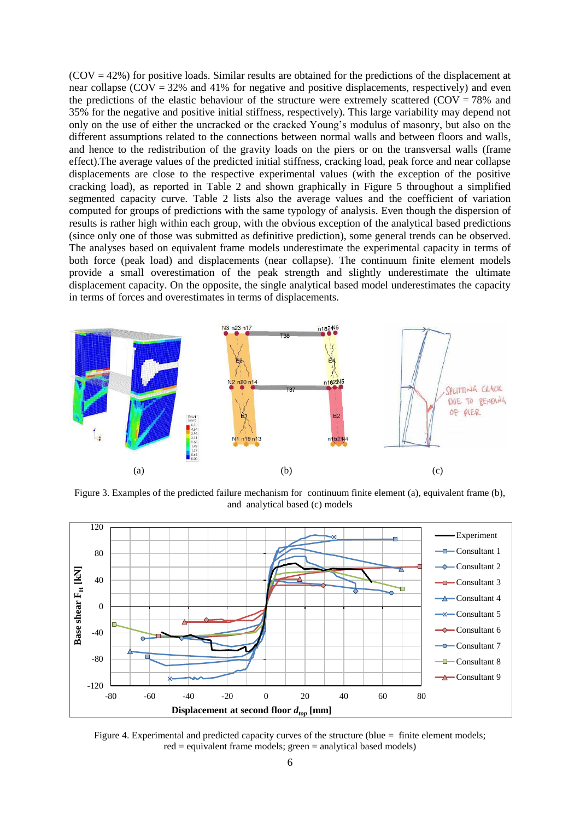$(COV = 42%)$  for positive loads. Similar results are obtained for the predictions of the displacement at near collapse  $(COV = 32\%$  and 41% for negative and positive displacements, respectively) and even the predictions of the elastic behaviour of the structure were extremely scattered ( $COV = 78\%$  and 35% for the negative and positive initial stiffness, respectively). This large variability may depend not only on the use of either the uncracked or the cracked Young's modulus of masonry, but also on the different assumptions related to the connections between normal walls and between floors and walls, and hence to the redistribution of the gravity loads on the piers or on the transversal walls (frame effect).The average values of the predicted initial stiffness, cracking load, peak force and near collapse displacements are close to the respective experimental values (with the exception of the positive cracking load), as reported in [Table 2](#page-6-0) and shown graphically in [Figure 5](#page-6-1) throughout a simplified segmented capacity curve. [Table 2](#page-6-0) lists also the average values and the coefficient of variation computed for groups of predictions with the same typology of analysis. Even though the dispersion of results is rather high within each group, with the obvious exception of the analytical based predictions (since only one of those was submitted as definitive prediction), some general trends can be observed. The analyses based on equivalent frame models underestimate the experimental capacity in terms of both force (peak load) and displacements (near collapse). The continuum finite element models provide a small overestimation of the peak strength and slightly underestimate the ultimate displacement capacity. On the opposite, the single analytical based model underestimates the capacity in terms of forces and overestimates in terms of displacements.



<span id="page-5-0"></span>Figure 3. Examples of the predicted failure mechanism for continuum finite element (a), equivalent frame (b), and analytical based (c) models



<span id="page-5-1"></span>Figure 4. Experimental and predicted capacity curves of the structure (blue = finite element models; red = equivalent frame models; green = analytical based models)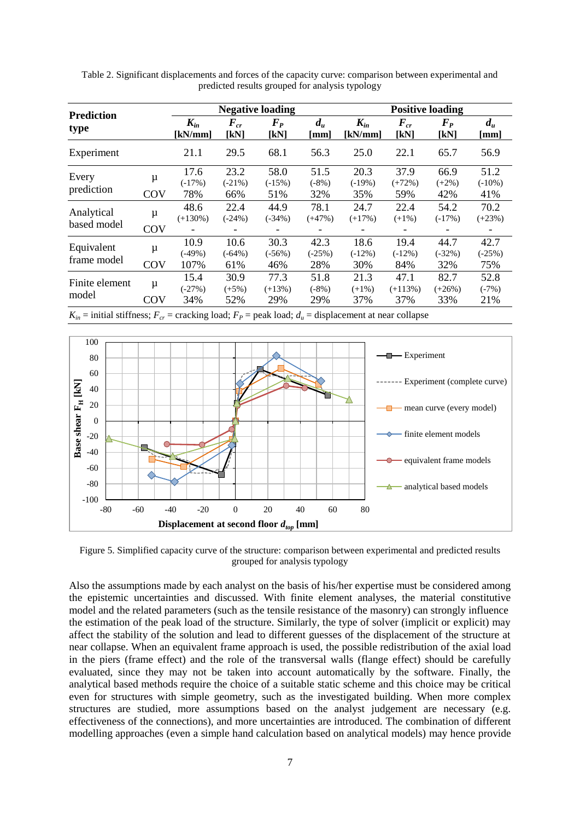| <b>Prediction</b>         |          | <b>Negative loading</b>                              |                              |                                                     |                              | <b>Positive loading</b>                             |                          |                           |                               |  |
|---------------------------|----------|------------------------------------------------------|------------------------------|-----------------------------------------------------|------------------------------|-----------------------------------------------------|--------------------------|---------------------------|-------------------------------|--|
| type                      |          | $K_{in}$<br>[kN/mm]                                  | $F_{cr}$<br>[kN]             | $\mathbf{F}_{\mathbf{P}}$<br>[kN]                   | $d_u$<br>[mm]                | $K_{in}$<br>[kN/mm]                                 | $F_{cr}$<br>[kN]         | $\bm{F}_{\bm{P}}$<br>[kN] | $d_u$<br>$\lceil$ mm $\rceil$ |  |
| Experiment                |          | 21.1                                                 | 29.5                         | 68.1                                                | 56.3                         | 25.0                                                | 22.1                     | 65.7                      | 56.9                          |  |
| Every<br>prediction       | μ<br>COV | 17.6<br>$(-17%)$<br>78%                              | 23.2<br>$(-21\%)$<br>66%     | 58.0<br>$(-15%)$<br>51%                             | 51.5<br>$(-8%)$<br>32%       | 20.3<br>$(-19%)$<br>35%                             | 37.9<br>$(+72%)$<br>59%  | 66.9<br>$(+2%)$<br>42%    | 51.2<br>$(-10\%)$<br>41%      |  |
| Analytical<br>based model | μ<br>COV | 48.6<br>$(+130\%)$                                   | 22.4<br>$(-24%)$             | 44.9<br>$(-34%)$                                    | 78.1<br>$(+47%)$             | 24.7<br>$(+17%)$                                    | 22.4<br>$(+1\%)$         | 54.2<br>$(-17%)$          | 70.2<br>$(+23%)$              |  |
| Equivalent<br>frame model | μ<br>COV | $\overline{\phantom{a}}$<br>10.9<br>$(-49%)$<br>107% | -<br>10.6<br>$(-64%)$<br>61% | $\overline{\phantom{a}}$<br>30.3<br>$(-56%)$<br>46% | -<br>42.3<br>$(-25%)$<br>28% | $\overline{\phantom{a}}$<br>18.6<br>$(-12%)$<br>30% | 19.4<br>$(-12%)$<br>84%  | 44.7<br>$(-32%)$<br>32%   | 42.7<br>$(-25%)$<br>75%       |  |
| Finite element<br>model   | μ<br>COV | 15.4<br>$(-27%)$<br>34%                              | 30.9<br>$(+5%)$<br>52%       | 77.3<br>$(+13%)$<br>29%                             | 51.8<br>$(-8%)$<br>29%       | 21.3<br>$(+1\%)$<br>37%                             | 47.1<br>$(+113%)$<br>37% | 82.7<br>$(+26%)$<br>33%   | 52.8<br>$(-7%)$<br>21%        |  |

<span id="page-6-0"></span>Table 2. Significant displacements and forces of the capacity curve: comparison between experimental and predicted results grouped for analysis typology

 $K_{in}$  = initial stiffness;  $F_{cr}$  = cracking load;  $F_{P}$  = peak load;  $d_u$  = displacement at near collapse



<span id="page-6-1"></span>Figure 5. Simplified capacity curve of the structure: comparison between experimental and predicted results grouped for analysis typology

Also the assumptions made by each analyst on the basis of his/her expertise must be considered among the epistemic uncertainties and discussed. With finite element analyses, the material constitutive model and the related parameters (such as the tensile resistance of the masonry) can strongly influence the estimation of the peak load of the structure. Similarly, the type of solver (implicit or explicit) may affect the stability of the solution and lead to different guesses of the displacement of the structure at near collapse. When an equivalent frame approach is used, the possible redistribution of the axial load in the piers (frame effect) and the role of the transversal walls (flange effect) should be carefully evaluated, since they may not be taken into account automatically by the software. Finally, the analytical based methods require the choice of a suitable static scheme and this choice may be critical even for structures with simple geometry, such as the investigated building. When more complex structures are studied, more assumptions based on the analyst judgement are necessary (e.g. effectiveness of the connections), and more uncertainties are introduced. The combination of different modelling approaches (even a simple hand calculation based on analytical models) may hence provide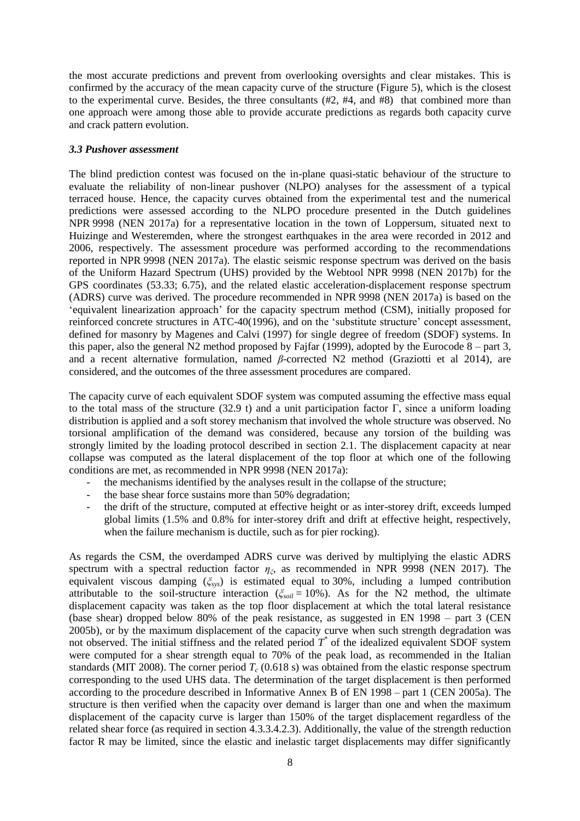the most accurate predictions and prevent from overlooking oversights and clear mistakes. This is confirmed by the accuracy of the mean capacity curve of the structure [\(Figure 5\)](#page-6-1), which is the closest to the experimental curve. Besides, the three consultants (#2, #4, and #8) that combined more than one approach were among those able to provide accurate predictions as regards both capacity curve and crack pattern evolution.

### *3.3 Pushover assessment*

The blind prediction contest was focused on the in-plane quasi-static behaviour of the structure to evaluate the reliability of non-linear pushover (NLPO) analyses for the assessment of a typical terraced house. Hence, the capacity curves obtained from the experimental test and the numerical predictions were assessed according to the NLPO procedure presented in the Dutch guidelines NPR 9998 (NEN 2017a) for a representative location in the town of Loppersum, situated next to Huizinge and Westeremden, where the strongest earthquakes in the area were recorded in 2012 and 2006, respectively. The assessment procedure was performed according to the recommendations reported in NPR 9998 (NEN 2017a). The elastic seismic response spectrum was derived on the basis of the Uniform Hazard Spectrum (UHS) provided by the Webtool NPR 9998 (NEN 2017b) for the GPS coordinates (53.33; 6.75), and the related elastic acceleration-displacement response spectrum (ADRS) curve was derived. The procedure recommended in NPR 9998 (NEN 2017a) is based on the 'equivalent linearization approach' for the capacity spectrum method (CSM), initially proposed for reinforced concrete structures in ATC-40(1996), and on the 'substitute structure' concept assessment, defined for masonry by Magenes and Calvi (1997) for single degree of freedom (SDOF) systems. In this paper, also the general N2 method proposed by Fajfar (1999), adopted by the Eurocode  $8 -$  part 3, and a recent alternative formulation, named *β*-corrected N2 method (Graziotti et al 2014), are considered, and the outcomes of the three assessment procedures are compared.

The capacity curve of each equivalent SDOF system was computed assuming the effective mass equal to the total mass of the structure (32.9 t) and a unit participation factor Γ, since a uniform loading distribution is applied and a soft storey mechanism that involved the whole structure was observed. No torsional amplification of the demand was considered, because any torsion of the building was strongly limited by the loading protocol described in section 2.1. The displacement capacity at near collapse was computed as the lateral displacement of the top floor at which one of the following conditions are met, as recommended in NPR 9998 (NEN 2017a):

- the mechanisms identified by the analyses result in the collapse of the structure;
- the base shear force sustains more than 50% degradation;
- the drift of the structure, computed at effective height or as inter-storey drift, exceeds lumped global limits (1.5% and 0.8% for inter-storey drift and drift at effective height, respectively, when the failure mechanism is ductile, such as for pier rocking).

As regards the CSM, the overdamped ADRS curve was derived by multiplying the elastic ADRS spectrum with a spectral reduction factor  $\eta_{\xi}$ , as recommended in NPR 9998 (NEN 2017). The equivalent viscous damping (*ξsys*) is estimated equal to 30%, including a lumped contribution attributable to the soil-structure interaction (*ξsoil* = 10%). As for the N2 method, the ultimate displacement capacity was taken as the top floor displacement at which the total lateral resistance (base shear) dropped below 80% of the peak resistance, as suggested in EN 1998 – part 3 (CEN 2005b), or by the maximum displacement of the capacity curve when such strength degradation was not observed. The initial stiffness and the related period  $T^*$  of the idealized equivalent SDOF system were computed for a shear strength equal to 70% of the peak load, as recommended in the Italian standards (MIT 2008). The corner period  $T_c$  (0.618 s) was obtained from the elastic response spectrum corresponding to the used UHS data. The determination of the target displacement is then performed according to the procedure described in Informative Annex B of EN 1998 – part 1 (CEN 2005a). The structure is then verified when the capacity over demand is larger than one and when the maximum displacement of the capacity curve is larger than 150% of the target displacement regardless of the related shear force (as required in section 4.3.3.4.2.3). Additionally, the value of the strength reduction factor R may be limited, since the elastic and inelastic target displacements may differ significantly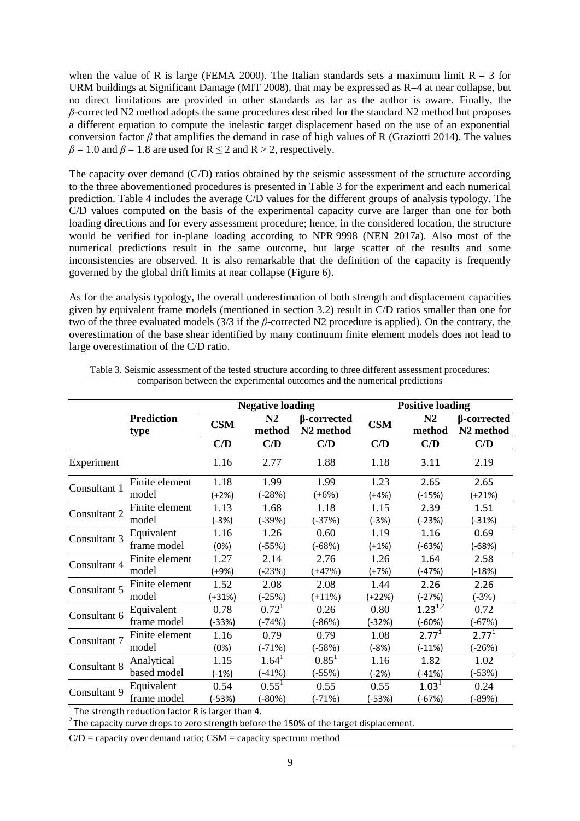when the value of R is large (FEMA 2000). The Italian standards sets a maximum limit  $R = 3$  for URM buildings at Significant Damage (MIT 2008), that may be expressed as R=4 at near collapse, but no direct limitations are provided in other standards as far as the author is aware. Finally, the *β*-corrected N2 method adopts the same procedures described for the standard N2 method but proposes a different equation to compute the inelastic target displacement based on the use of an exponential conversion factor  $\beta$  that amplifies the demand in case of high values of R (Graziotti 2014). The values  $\beta = 1.0$  and  $\beta = 1.8$  are used for  $R \le 2$  and  $R > 2$ , respectively.

The capacity over demand (C/D) ratios obtained by the seismic assessment of the structure according to the three abovementioned procedures is presented in [Table 3](#page-8-0) for the experiment and each numerical prediction. [Table 4](#page-9-0) includes the average C/D values for the different groups of analysis typology. The C/D values computed on the basis of the experimental capacity curve are larger than one for both loading directions and for every assessment procedure; hence, in the considered location, the structure would be verified for in-plane loading according to NPR 9998 (NEN 2017a). Also most of the numerical predictions result in the same outcome, but large scatter of the results and some inconsistencies are observed. It is also remarkable that the definition of the capacity is frequently governed by the global drift limits at near collapse [\(Figure 6\)](#page-9-1).

As for the analysis typology, the overall underestimation of both strength and displacement capacities given by equivalent frame models (mentioned in section 3.2) result in C/D ratios smaller than one for two of the three evaluated models (3/3 if the *β*-corrected N2 procedure is applied). On the contrary, the overestimation of the base shear identified by many continuum finite element models does not lead to large overestimation of the C/D ratio.

|              |                           |                                        | <b>Negative loading</b> |                                             | <b>Positive loading</b> |              |                                             |  |
|--------------|---------------------------|----------------------------------------|-------------------------|---------------------------------------------|-------------------------|--------------|---------------------------------------------|--|
|              | <b>Prediction</b><br>type | N <sub>2</sub><br><b>CSM</b><br>method |                         | $\beta$ -corrected<br>N <sub>2</sub> method | <b>CSM</b>              | N2<br>method | $\beta$ -corrected<br>N <sub>2</sub> method |  |
|              |                           | C/D                                    | C/D                     | C/D                                         | C/D                     | C/D          | C/D                                         |  |
| Experiment   |                           | 1.16                                   | 2.77                    | 1.88                                        | 1.18                    | 3.11         | 2.19                                        |  |
| Consultant 1 | Finite element            | 1.18                                   | 1.99                    | 1.99                                        | 1.23                    | 2.65         | 2.65                                        |  |
|              | model                     | $(+2%)$                                | $(-28%)$                | $(+6%)$                                     | (+4%)                   | $(-15%)$     | (+21%)                                      |  |
| Consultant 2 | Finite element            | 1.13                                   | 1.68                    | 1.18                                        | 1.15                    | 2.39         | 1.51                                        |  |
|              | model                     | $(-3%)$                                | $(-39%)$                | $(-37%)$                                    | $(-3%)$                 | (-23%)       | $(-31%)$                                    |  |
| Consultant 3 | Equivalent                | 1.16                                   | 1.26                    | 0.60                                        | 1.19                    | 1.16         | 0.69                                        |  |
|              | frame model               | (0%)                                   | $-55\%$ )               | $(-68%)$                                    | (+1%)                   | (-63%)       | (-68%)                                      |  |
| Consultant 4 | Finite element            | 1.27                                   | 2.14                    | 2.76                                        | 1.26                    | 1.64         | 2.58                                        |  |
|              | model                     | (+9%)                                  | $-23\%$ )               | $(+47%)$                                    | (+7%)                   | (-47%)       | (-18%)                                      |  |
| Consultant 5 | Finite element            | 1.52                                   | 2.08                    | 2.08                                        | 1.44                    | 2.26         | 2.26                                        |  |
|              | model                     | $(+31%)$                               | $(-25%)$                | $(+11\%)$                                   | (+22%)                  | $(-27%)$     | $(-3%)$                                     |  |
| Consultant 6 | Equivalent                | 0.78                                   | 0.72 <sup>1</sup>       | 0.26                                        | 0.80                    | $1.23^{1,2}$ | 0.72                                        |  |
|              | frame model               | $(-33%)$                               | $(-74%)$                | $(-86%)$                                    | $-32%$                  | $(-60%)$     | $(-67%)$                                    |  |
| Consultant 7 | Finite element            | 1.16                                   | 0.79                    | 0.79                                        | 1.08                    | $2.77^{1}$   | $2.77^{1}$                                  |  |
|              | model                     | (0%)                                   | $(-71%)$                | $(-58%)$                                    | $(-8%)$                 | $(-11%)$     | $(-26%)$                                    |  |
| Consultant 8 | Analytical                | 1.15                                   | 1.64 <sup>1</sup>       | $0.85^1$                                    | 1.16                    | 1.82         | 1.02                                        |  |
|              | based model               | $(-1%)$                                | $(-41%)$                | $(-55%)$                                    | $(-2%)$                 | $(-41%)$     | $(-53%)$                                    |  |
| Consultant 9 | Equivalent                | 0.54                                   | $0.55^1$                | 0.55                                        | 0.55                    | $1.03^{1}$   | 0.24                                        |  |
|              | frame model               | (-53%)                                 | $(-80%)$                | $(-71%)$                                    | (-53%)                  | $(-67%)$     | $(-89%)$                                    |  |

<span id="page-8-0"></span>Table 3. Seismic assessment of the tested structure according to three different assessment procedures: comparison between the experimental outcomes and the numerical predictions

 $1$  The strength reduction factor R is larger than 4.

 $2$ The capacity curve drops to zero strength before the 150% of the target displacement.

 $C/D$  = capacity over demand ratio;  $CSM$  = capacity spectrum method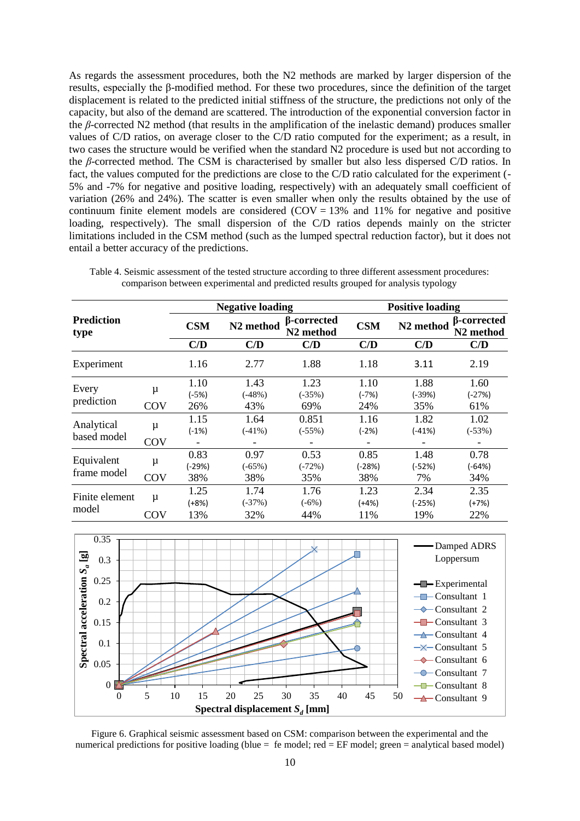As regards the assessment procedures, both the N2 methods are marked by larger dispersion of the results, especially the β-modified method. For these two procedures, since the definition of the target displacement is related to the predicted initial stiffness of the structure, the predictions not only of the capacity, but also of the demand are scattered. The introduction of the exponential conversion factor in the *β*-corrected N2 method (that results in the amplification of the inelastic demand) produces smaller values of C/D ratios, on average closer to the C/D ratio computed for the experiment; as a result, in two cases the structure would be verified when the standard N2 procedure is used but not according to the *β*-corrected method. The CSM is characterised by smaller but also less dispersed C/D ratios. In fact, the values computed for the predictions are close to the C/D ratio calculated for the experiment (- 5% and -7% for negative and positive loading, respectively) with an adequately small coefficient of variation (26% and 24%). The scatter is even smaller when only the results obtained by the use of continuum finite element models are considered (COV =  $13\%$  and  $11\%$  for negative and positive loading, respectively). The small dispersion of the C/D ratios depends mainly on the stricter limitations included in the CSM method (such as the lumped spectral reduction factor), but it does not entail a better accuracy of the predictions.

|                           |     |                          | <b>Negative loading</b> |                                      | <b>Positive loading</b> |                       |                                              |  |
|---------------------------|-----|--------------------------|-------------------------|--------------------------------------|-------------------------|-----------------------|----------------------------------------------|--|
| <b>Prediction</b><br>type |     | <b>CSM</b>               | N <sub>2</sub> method   | β-corrected<br>N <sub>2</sub> method | <b>CSM</b>              | N <sub>2</sub> method | <b>B</b> -corrected<br>N <sub>2</sub> method |  |
|                           |     | C/D                      | C/D                     | C/D                                  | C/D                     | C/D                   | C/D                                          |  |
| Experiment                |     | 1.16                     | 2.77                    | 1.88                                 | 1.18                    | 3.11                  | 2.19                                         |  |
| Every<br>prediction       | μ   | 1.10                     | 1.43                    | 1.23                                 | 1.10                    | 1.88                  | 1.60                                         |  |
|                           |     | $(-5%)$                  | $(-48%)$                | $(-35%)$                             | $(-7%)$                 | (-39%)                | $(-27%)$                                     |  |
|                           | COV | 26%                      | 43%                     | 69%                                  | 24%                     | 35%                   | 61%                                          |  |
|                           | μ   | 1.15                     | 1.64                    | 0.851                                | 1.16                    | 1.82                  | 1.02                                         |  |
| Analytical                |     | $(-1%)$                  | $(-41\%)$               | $(-55%)$                             | $(-2%)$                 | $(-41%)$              | $(-53%)$                                     |  |
| based model               | COV | $\overline{\phantom{a}}$ |                         |                                      |                         |                       |                                              |  |
| Equivalent<br>frame model | μ   | 0.83                     | 0.97                    | 0.53                                 | 0.85                    | 1.48                  | 0.78                                         |  |
|                           |     | (-29%)                   | $(-65%)$                | $(-72%)$                             | (-28%)                  | (-52%)                | (-64%)                                       |  |
|                           | COV | 38%                      | 38%                     | 35%                                  | 38%                     | 7%                    | 34%                                          |  |
| Finite element<br>model   | μ   | 1.25                     | 1.74                    | 1.76                                 | 1.23                    | 2.34                  | 2.35                                         |  |
|                           |     | $(+8%)$                  | $(-37%)$                | $(-6%)$                              | $(+4%)$                 | $(-25%)$              | $(+7%)$                                      |  |
|                           | COV | 13%                      | 32%                     | 44%                                  | 11%                     | 19%                   | 22%                                          |  |

<span id="page-9-0"></span>Table 4. Seismic assessment of the tested structure according to three different assessment procedures: comparison between experimental and predicted results grouped for analysis typology



<span id="page-9-1"></span>Figure 6. Graphical seismic assessment based on CSM: comparison between the experimental and the numerical predictions for positive loading (blue  $=$  fe model;  $red = EF$  model; green  $=$  analytical based model)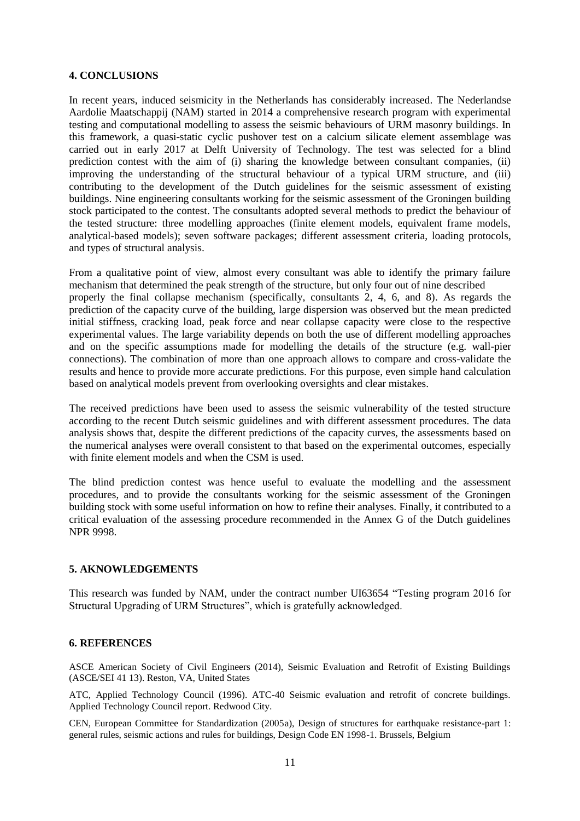### **4. CONCLUSIONS**

In recent years, induced seismicity in the Netherlands has considerably increased. The Nederlandse Aardolie Maatschappij (NAM) started in 2014 a comprehensive research program with experimental testing and computational modelling to assess the seismic behaviours of URM masonry buildings. In this framework, a quasi-static cyclic pushover test on a calcium silicate element assemblage was carried out in early 2017 at Delft University of Technology. The test was selected for a blind prediction contest with the aim of (i) sharing the knowledge between consultant companies, (ii) improving the understanding of the structural behaviour of a typical URM structure, and (iii) contributing to the development of the Dutch guidelines for the seismic assessment of existing buildings. Nine engineering consultants working for the seismic assessment of the Groningen building stock participated to the contest. The consultants adopted several methods to predict the behaviour of the tested structure: three modelling approaches (finite element models, equivalent frame models, analytical-based models); seven software packages; different assessment criteria, loading protocols, and types of structural analysis.

From a qualitative point of view, almost every consultant was able to identify the primary failure mechanism that determined the peak strength of the structure, but only four out of nine described properly the final collapse mechanism (specifically, consultants 2, 4, 6, and 8). As regards the prediction of the capacity curve of the building, large dispersion was observed but the mean predicted initial stiffness, cracking load, peak force and near collapse capacity were close to the respective experimental values. The large variability depends on both the use of different modelling approaches and on the specific assumptions made for modelling the details of the structure (e.g. wall-pier connections). The combination of more than one approach allows to compare and cross-validate the results and hence to provide more accurate predictions. For this purpose, even simple hand calculation based on analytical models prevent from overlooking oversights and clear mistakes.

The received predictions have been used to assess the seismic vulnerability of the tested structure according to the recent Dutch seismic guidelines and with different assessment procedures. The data analysis shows that, despite the different predictions of the capacity curves, the assessments based on the numerical analyses were overall consistent to that based on the experimental outcomes, especially with finite element models and when the CSM is used.

The blind prediction contest was hence useful to evaluate the modelling and the assessment procedures, and to provide the consultants working for the seismic assessment of the Groningen building stock with some useful information on how to refine their analyses. Finally, it contributed to a critical evaluation of the assessing procedure recommended in the Annex G of the Dutch guidelines NPR 9998.

#### **5. AKNOWLEDGEMENTS**

This research was funded by NAM, under the contract number UI63654 "Testing program 2016 for Structural Upgrading of URM Structures", which is gratefully acknowledged.

#### **6. REFERENCES**

ASCE American Society of Civil Engineers (2014), Seismic Evaluation and Retrofit of Existing Buildings (ASCE/SEI 41 13). Reston, VA, United States

ATC, Applied Technology Council (1996). ATC-40 Seismic evaluation and retrofit of concrete buildings. Applied Technology Council report. Redwood City.

CEN, European Committee for Standardization (2005a), Design of structures for earthquake resistance-part 1: general rules, seismic actions and rules for buildings, Design Code EN 1998-1. Brussels, Belgium